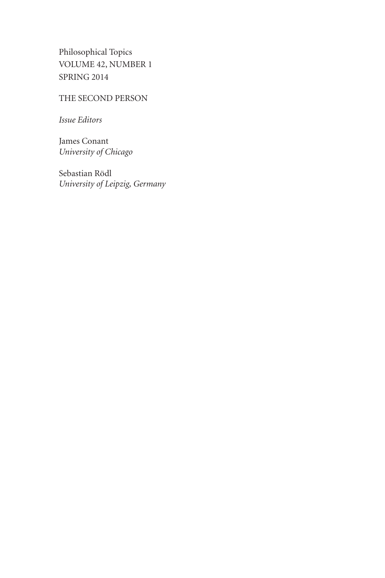Philosophical Topics VOLUME 42, NUMBER 1 SPRING 2014

# THE SECOND PERSON

*Issue Editors*

James Conant *University of Chicago*

Sebastian Rödl *University of Leipzig, Germany*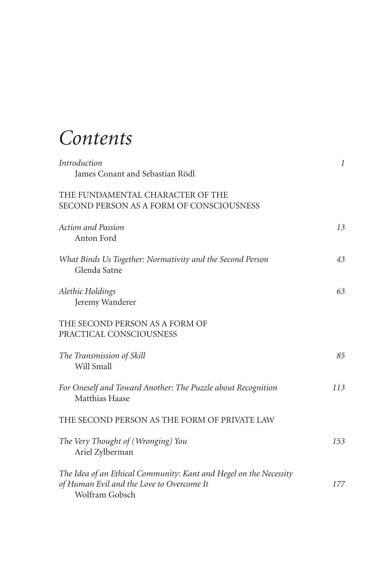# *Contents*

| <i>Introduction</i><br>James Conant and Sebastian Rödl                                                                           | 1   |
|----------------------------------------------------------------------------------------------------------------------------------|-----|
| THE FUNDAMENTAL CHARACTER OF THE<br>SECOND PERSON AS A FORM OF CONSCIOUSNESS                                                     |     |
| <b>Action and Passion</b><br>Anton Ford                                                                                          | 13  |
| What Binds Us Together: Normativity and the Second Person<br>Glenda Satne                                                        | 43  |
| Alethic Holdings<br>Jeremy Wanderer                                                                                              | 63  |
| THE SECOND PERSON AS A FORM OF<br>PRACTICAL CONSCIOUSNESS                                                                        |     |
| The Transmission of Skill<br>Will Small                                                                                          | 85  |
| For Oneself and Toward Another: The Puzzle about Recognition<br>Matthias Haase                                                   | 113 |
| THE SECOND PERSON AS THE FORM OF PRIVATE LAW                                                                                     |     |
| The Very Thought of (Wronging) You<br>Ariel Zylberman                                                                            | 153 |
| The Idea of an Ethical Community: Kant and Hegel on the Necessity<br>of Human Evil and the Love to Overcome It<br>Wolfram Gobsch | 177 |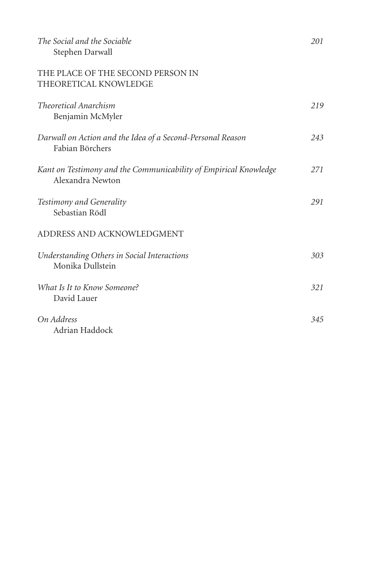| The Social and the Sociable<br>Stephen Darwall                                       | 201 |
|--------------------------------------------------------------------------------------|-----|
| THE PLACE OF THE SECOND PERSON IN<br>THEORETICAL KNOWLEDGE                           |     |
| <b>Theoretical Anarchism</b><br>Benjamin McMyler                                     | 219 |
| Darwall on Action and the Idea of a Second-Personal Reason<br>Fabian Börchers        | 243 |
| Kant on Testimony and the Communicability of Empirical Knowledge<br>Alexandra Newton | 271 |
| Testimony and Generality<br>Sebastian Rödl                                           | 291 |
| ADDRESS AND ACKNOWLEDGMENT                                                           |     |
| Understanding Others in Social Interactions<br>Monika Dullstein                      | 303 |
| What Is It to Know Someone?<br>David Lauer                                           | 321 |
| On Address<br>Adrian Haddock                                                         | 345 |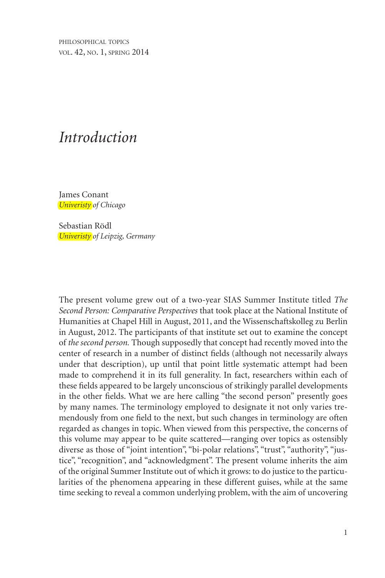philosophical topics vol. 42, no. 1, spring 2014

# *Introduction*

James Conant *Univeristy of Chicago*

Sebastian Rödl *Univeristy of Leipzig, Germany*

The present volume grew out of a two-year SIAS Summer Institute titled *The Second Person: Comparative Perspectives* that took place at the National Institute of Humanities at Chapel Hill in August, 2011, and the Wissenschaftskolleg zu Berlin in August, 2012. The participants of that institute set out to examine the concept of *the second person.* Though supposedly that concept had recently moved into the center of research in a number of distinct fields (although not necessarily always under that description), up until that point little systematic attempt had been made to comprehend it in its full generality. In fact, researchers within each of these fields appeared to be largely unconscious of strikingly parallel developments in the other fields. What we are here calling "the second person" presently goes by many names. The terminology employed to designate it not only varies tremendously from one field to the next, but such changes in terminology are often regarded as changes in topic. When viewed from this perspective, the concerns of this volume may appear to be quite scattered—ranging over topics as ostensibly diverse as those of "joint intention", "bi-polar relations", "trust", "authority", "justice", "recognition", and "acknowledgment". The present volume inherits the aim of the original Summer Institute out of which it grows: to do justice to the particularities of the phenomena appearing in these different guises, while at the same time seeking to reveal a common underlying problem, with the aim of uncovering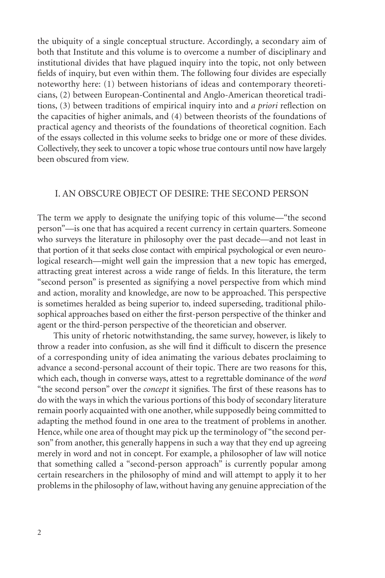the ubiquity of a single conceptual structure. Accordingly, a secondary aim of both that Institute and this volume is to overcome a number of disciplinary and institutional divides that have plagued inquiry into the topic, not only between fields of inquiry, but even within them. The following four divides are especially noteworthy here: (1) between historians of ideas and contemporary theoreticians, (2) between European-Continental and Anglo-American theoretical traditions, (3) between traditions of empirical inquiry into and *a priori* reflection on the capacities of higher animals, and (4) between theorists of the foundations of practical agency and theorists of the foundations of theoretical cognition. Each of the essays collected in this volume seeks to bridge one or more of these divides. Collectively, they seek to uncover a topic whose true contours until now have largely been obscured from view.

#### I. An Obscure Object of Desire: The Second Person

The term we apply to designate the unifying topic of this volume—"the second person"—is one that has acquired a recent currency in certain quarters. Someone who surveys the literature in philosophy over the past decade—and not least in that portion of it that seeks close contact with empirical psychological or even neurological research—might well gain the impression that a new topic has emerged, attracting great interest across a wide range of fields. In this literature, the term "second person" is presented as signifying a novel perspective from which mind and action, morality and knowledge, are now to be approached. This perspective is sometimes heralded as being superior to, indeed superseding, traditional philosophical approaches based on either the first-person perspective of the thinker and agent or the third-person perspective of the theoretician and observer.

This unity of rhetoric notwithstanding, the same survey, however, is likely to throw a reader into confusion, as she will find it difficult to discern the presence of a corresponding unity of idea animating the various debates proclaiming to advance a second-personal account of their topic. There are two reasons for this, which each, though in converse ways, attest to a regrettable dominance of the *word* "the second person" over the *concept* it signifies. The first of these reasons has to do with the ways in which the various portions of this body of secondary literature remain poorly acquainted with one another, while supposedly being committed to adapting the method found in one area to the treatment of problems in another. Hence, while one area of thought may pick up the terminology of "the second person" from another, this generally happens in such a way that they end up agreeing merely in word and not in concept. For example, a philosopher of law will notice that something called a "second-person approach" is currently popular among certain researchers in the philosophy of mind and will attempt to apply it to her problems in the philosophy of law, without having any genuine appreciation of the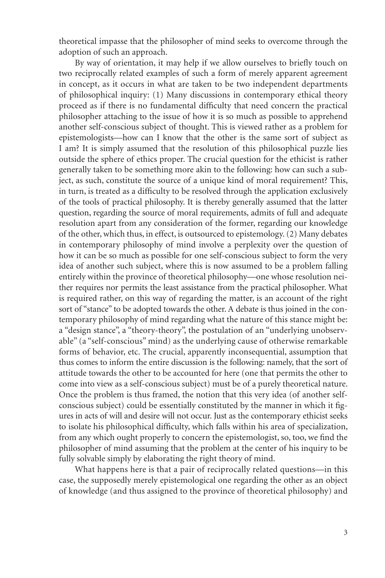theoretical impasse that the philosopher of mind seeks to overcome through the adoption of such an approach.

By way of orientation, it may help if we allow ourselves to briefly touch on two reciprocally related examples of such a form of merely apparent agreement in concept, as it occurs in what are taken to be two independent departments of philosophical inquiry: (1) Many discussions in contemporary ethical theory proceed as if there is no fundamental difficulty that need concern the practical philosopher attaching to the issue of how it is so much as possible to apprehend another self-conscious subject of thought. This is viewed rather as a problem for epistemologists—how can I know that the other is the same sort of subject as I am? It is simply assumed that the resolution of this philosophical puzzle lies outside the sphere of ethics proper. The crucial question for the ethicist is rather generally taken to be something more akin to the following: how can such a subject, as such, constitute the source of a unique kind of moral requirement? This, in turn, is treated as a difficulty to be resolved through the application exclusively of the tools of practical philosophy. It is thereby generally assumed that the latter question, regarding the source of moral requirements, admits of full and adequate resolution apart from any consideration of the former, regarding our knowledge of the other, which thus, in effect, is outsourced to epistemology. (2) Many debates in contemporary philosophy of mind involve a perplexity over the question of how it can be so much as possible for one self-conscious subject to form the very idea of another such subject, where this is now assumed to be a problem falling entirely within the province of theoretical philosophy—one whose resolution neither requires nor permits the least assistance from the practical philosopher. What is required rather, on this way of regarding the matter, is an account of the right sort of "stance" to be adopted towards the other. A debate is thus joined in the contemporary philosophy of mind regarding what the nature of this stance might be: a "design stance", a "theory-theory", the postulation of an "underlying unobservable" (a "self-conscious" mind) as the underlying cause of otherwise remarkable forms of behavior, etc. The crucial, apparently inconsequential, assumption that thus comes to inform the entire discussion is the following: namely, that the sort of attitude towards the other to be accounted for here (one that permits the other to come into view as a self-conscious subject) must be of a purely theoretical nature. Once the problem is thus framed, the notion that this very idea (of another selfconscious subject) could be essentially constituted by the manner in which it figures in acts of will and desire will not occur. Just as the contemporary ethicist seeks to isolate his philosophical difficulty, which falls within his area of specialization, from any which ought properly to concern the epistemologist, so, too, we find the philosopher of mind assuming that the problem at the center of his inquiry to be fully solvable simply by elaborating the right theory of mind.

What happens here is that a pair of reciprocally related questions—in this case, the supposedly merely epistemological one regarding the other as an object of knowledge (and thus assigned to the province of theoretical philosophy) and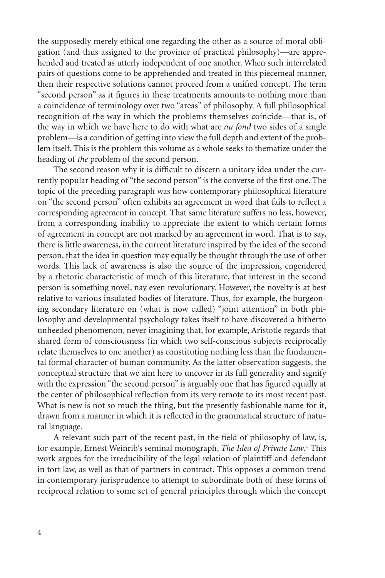the supposedly merely ethical one regarding the other as a source of moral obligation (and thus assigned to the province of practical philosophy)—are apprehended and treated as utterly independent of one another. When such interrelated pairs of questions come to be apprehended and treated in this piecemeal manner, then their respective solutions cannot proceed from a unified concept. The term "second person" as it figures in these treatments amounts to nothing more than a coincidence of terminology over two "areas" of philosophy. A full philosophical recognition of the way in which the problems themselves coincide—that is, of the way in which we have here to do with what are *au fond* two sides of a single problem—is a condition of getting into view the full depth and extent of the problem itself. This is the problem this volume as a whole seeks to thematize under the heading of *the* problem of the second person.

The second reason why it is difficult to discern a unitary idea under the currently popular heading of "the second person" is the converse of the first one. The topic of the preceding paragraph was how contemporary philosophical literature on "the second person" often exhibits an agreement in word that fails to reflect a corresponding agreement in concept. That same literature suffers no less, however, from a corresponding inability to appreciate the extent to which certain forms of agreement in concept are not marked by an agreement in word. That is to say, there is little awareness, in the current literature inspired by the idea of the second person, that the idea in question may equally be thought through the use of other words. This lack of awareness is also the source of the impression, engendered by a rhetoric characteristic of much of this literature, that interest in the second person is something novel, nay even revolutionary. However, the novelty is at best relative to various insulated bodies of literature. Thus, for example, the burgeoning secondary literature on (what is now called) "joint attention" in both philosophy and developmental psychology takes itself to have discovered a hitherto unheeded phenomenon, never imagining that, for example, Aristotle regards that shared form of consciousness (in which two self-conscious subjects reciprocally relate themselves to one another) as constituting nothing less than the fundamental formal character of human community. As the latter observation suggests, the conceptual structure that we aim here to uncover in its full generality and signify with the expression "the second person" is arguably one that has figured equally at the center of philosophical reflection from its very remote to its most recent past. What is new is not so much the thing, but the presently fashionable name for it, drawn from a manner in which it is reflected in the grammatical structure of natural language.

A relevant such part of the recent past, in the field of philosophy of law, is, for example, Ernest Weinrib's seminal monograph, *The Idea of Private Law.*<sup>1</sup> This work argues for the irreducibility of the legal relation of plaintiff and defendant in tort law, as well as that of partners in contract. This opposes a common trend in contemporary jurisprudence to attempt to subordinate both of these forms of reciprocal relation to some set of general principles through which the concept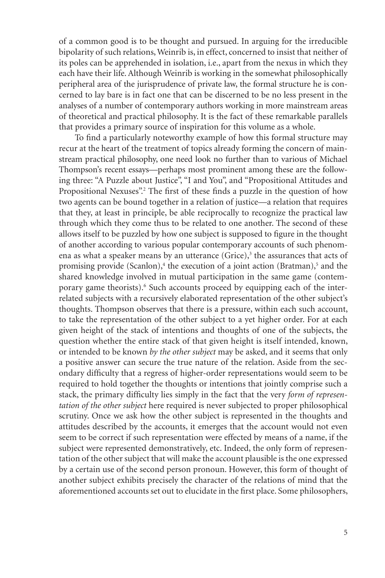of a common good is to be thought and pursued. In arguing for the irreducible bipolarity of such relations, Weinrib is, in effect, concerned to insist that neither of its poles can be apprehended in isolation, i.e., apart from the nexus in which they each have their life. Although Weinrib is working in the somewhat philosophically peripheral area of the jurisprudence of private law, the formal structure he is concerned to lay bare is in fact one that can be discerned to be no less present in the analyses of a number of contemporary authors working in more mainstream areas of theoretical and practical philosophy. It is the fact of these remarkable parallels that provides a primary source of inspiration for this volume as a whole.

To find a particularly noteworthy example of how this formal structure may recur at the heart of the treatment of topics already forming the concern of mainstream practical philosophy, one need look no further than to various of Michael Thompson's recent essays—perhaps most prominent among these are the following three: "A Puzzle about Justice", "I and You", and "Propositional Attitudes and Propositional Nexuses".<sup>2</sup> The first of these finds a puzzle in the question of how two agents can be bound together in a relation of justice—a relation that requires that they, at least in principle, be able reciprocally to recognize the practical law through which they come thus to be related to one another. The second of these allows itself to be puzzled by how one subject is supposed to figure in the thought of another according to various popular contemporary accounts of such phenomena as what a speaker means by an utterance  $(Grice)$ ,<sup>3</sup> the assurances that acts of promising provide (Scanlon),<sup>4</sup> the execution of a joint action (Bratman),<sup>5</sup> and the shared knowledge involved in mutual participation in the same game (contemporary game theorists).<sup>6</sup> Such accounts proceed by equipping each of the interrelated subjects with a recursively elaborated representation of the other subject's thoughts. Thompson observes that there is a pressure, within each such account, to take the representation of the other subject to a yet higher order. For at each given height of the stack of intentions and thoughts of one of the subjects, the question whether the entire stack of that given height is itself intended, known, or intended to be known *by the other subject* may be asked, and it seems that only a positive answer can secure the true nature of the relation. Aside from the secondary difficulty that a regress of higher-order representations would seem to be required to hold together the thoughts or intentions that jointly comprise such a stack, the primary difficulty lies simply in the fact that the very *form of representation of the other subject* here required is never subjected to proper philosophical scrutiny. Once we ask how the other subject is represented in the thoughts and attitudes described by the accounts, it emerges that the account would not even seem to be correct if such representation were effected by means of a name, if the subject were represented demonstratively, etc. Indeed, the only form of representation of the other subject that will make the account plausible is the one expressed by a certain use of the second person pronoun. However, this form of thought of another subject exhibits precisely the character of the relations of mind that the aforementioned accounts set out to elucidate in the first place. Some philosophers,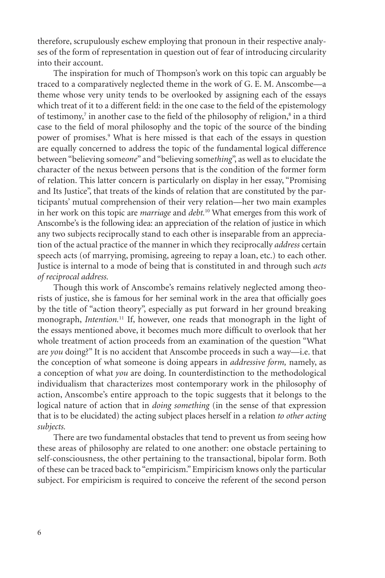therefore, scrupulously eschew employing that pronoun in their respective analyses of the form of representation in question out of fear of introducing circularity into their account.

The inspiration for much of Thompson's work on this topic can arguably be traced to a comparatively neglected theme in the work of G. E. M. Anscombe—a theme whose very unity tends to be overlooked by assigning each of the essays which treat of it to a different field: in the one case to the field of the epistemology of testimony,<sup>7</sup> in another case to the field of the philosophy of religion,<sup>8</sup> in a third case to the field of moral philosophy and the topic of the source of the binding power of promises.<sup>9</sup> What is here missed is that each of the essays in question are equally concerned to address the topic of the fundamental logical difference between "believing some*one*" and "believing some*thing*", as well as to elucidate the character of the nexus between persons that is the condition of the former form of relation. This latter concern is particularly on display in her essay, "Promising and Its Justice", that treats of the kinds of relation that are constituted by the participants' mutual comprehension of their very relation—her two main examples in her work on this topic are *marriage* and *debt.*10 What emerges from this work of Anscombe's is the following idea: an appreciation of the relation of justice in which any two subjects reciprocally stand to each other is inseparable from an appreciation of the actual practice of the manner in which they reciprocally *address* certain speech acts (of marrying, promising, agreeing to repay a loan, etc.) to each other. Justice is internal to a mode of being that is constituted in and through such *acts of reciprocal address.*

Though this work of Anscombe's remains relatively neglected among theorists of justice, she is famous for her seminal work in the area that officially goes by the title of "action theory", especially as put forward in her ground breaking monograph, *Intention.*11 If, however, one reads that monograph in the light of the essays mentioned above, it becomes much more difficult to overlook that her whole treatment of action proceeds from an examination of the question "What are *you* doing?" It is no accident that Anscombe proceeds in such a way—i.e. that the conception of what someone is doing appears in *addressive form,* namely, as a conception of what *you* are doing. In counterdistinction to the methodological individualism that characterizes most contemporary work in the philosophy of action, Anscombe's entire approach to the topic suggests that it belongs to the logical nature of action that in *doing something* (in the sense of that expression that is to be elucidated) the acting subject places herself in a relation *to other acting subjects.*

There are two fundamental obstacles that tend to prevent us from seeing how these areas of philosophy are related to one another: one obstacle pertaining to self-consciousness, the other pertaining to the transactional, bipolar form. Both of these can be traced back to "empiricism." Empiricism knows only the particular subject. For empiricism is required to conceive the referent of the second person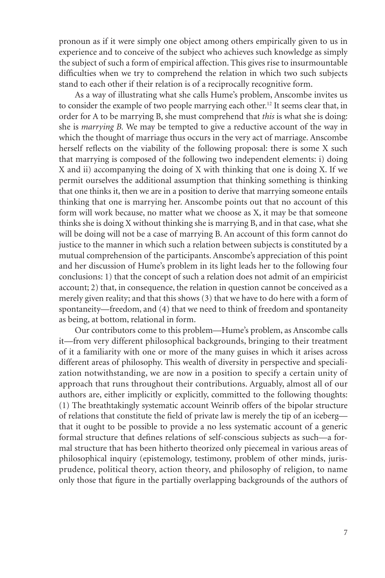pronoun as if it were simply one object among others empirically given to us in experience and to conceive of the subject who achieves such knowledge as simply the subject of such a form of empirical affection. This gives rise to insurmountable difficulties when we try to comprehend the relation in which two such subjects stand to each other if their relation is of a reciprocally recognitive form.

As a way of illustrating what she calls Hume's problem, Anscombe invites us to consider the example of two people marrying each other.12 It seems clear that, in order for A to be marrying B, she must comprehend that *this* is what she is doing: she is *marrying B.* We may be tempted to give a reductive account of the way in which the thought of marriage thus occurs in the very act of marriage. Anscombe herself reflects on the viability of the following proposal: there is some X such that marrying is composed of the following two independent elements: i) doing X and ii) accompanying the doing of X with thinking that one is doing X. If we permit ourselves the additional assumption that thinking something is thinking that one thinks it, then we are in a position to derive that marrying someone entails thinking that one is marrying her. Anscombe points out that no account of this form will work because, no matter what we choose as X, it may be that someone thinks she is doing X without thinking she is marrying B, and in that case, what she will be doing will not be a case of marrying B. An account of this form cannot do justice to the manner in which such a relation between subjects is constituted by a mutual comprehension of the participants. Anscombe's appreciation of this point and her discussion of Hume's problem in its light leads her to the following four conclusions: 1) that the concept of such a relation does not admit of an empiricist account; 2) that, in consequence, the relation in question cannot be conceived as a merely given reality; and that this shows (3) that we have to do here with a form of spontaneity—freedom, and (4) that we need to think of freedom and spontaneity as being, at bottom, relational in form.

Our contributors come to this problem—Hume's problem, as Anscombe calls it—from very different philosophical backgrounds, bringing to their treatment of it a familiarity with one or more of the many guises in which it arises across different areas of philosophy. This wealth of diversity in perspective and specialization notwithstanding, we are now in a position to specify a certain unity of approach that runs throughout their contributions. Arguably, almost all of our authors are, either implicitly or explicitly, committed to the following thoughts: (1) The breathtakingly systematic account Weinrib offers of the bipolar structure of relations that constitute the field of private law is merely the tip of an iceberg that it ought to be possible to provide a no less systematic account of a generic formal structure that defines relations of self-conscious subjects as such—a formal structure that has been hitherto theorized only piecemeal in various areas of philosophical inquiry (epistemology, testimony, problem of other minds, jurisprudence, political theory, action theory, and philosophy of religion, to name only those that figure in the partially overlapping backgrounds of the authors of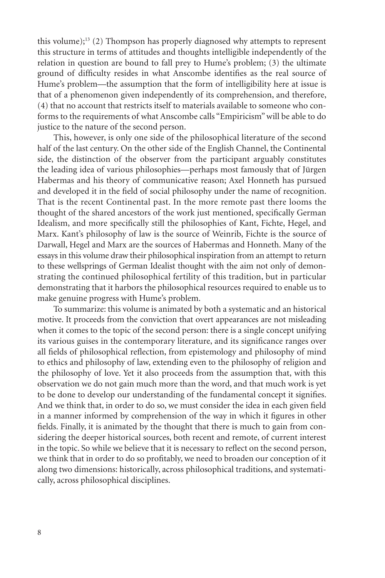this volume);<sup>13</sup> (2) Thompson has properly diagnosed why attempts to represent this structure in terms of attitudes and thoughts intelligible independently of the relation in question are bound to fall prey to Hume's problem; (3) the ultimate ground of difficulty resides in what Anscombe identifies as the real source of Hume's problem—the assumption that the form of intelligibility here at issue is that of a phenomenon given independently of its comprehension, and therefore, (4) that no account that restricts itself to materials available to someone who conforms to the requirements of what Anscombe calls "Empiricism" will be able to do justice to the nature of the second person.

This, however, is only one side of the philosophical literature of the second half of the last century. On the other side of the English Channel, the Continental side, the distinction of the observer from the participant arguably constitutes the leading idea of various philosophies—perhaps most famously that of Jürgen Habermas and his theory of communicative reason; Axel Honneth has pursued and developed it in the field of social philosophy under the name of recognition. That is the recent Continental past. In the more remote past there looms the thought of the shared ancestors of the work just mentioned, specifically German Idealism, and more specifically still the philosophies of Kant, Fichte, Hegel, and Marx. Kant's philosophy of law is the source of Weinrib, Fichte is the source of Darwall, Hegel and Marx are the sources of Habermas and Honneth. Many of the essays in this volume draw their philosophical inspiration from an attempt to return to these wellsprings of German Idealist thought with the aim not only of demonstrating the continued philosophical fertility of this tradition, but in particular demonstrating that it harbors the philosophical resources required to enable us to make genuine progress with Hume's problem.

To summarize: this volume is animated by both a systematic and an historical motive. It proceeds from the conviction that overt appearances are not misleading when it comes to the topic of the second person: there is a single concept unifying its various guises in the contemporary literature, and its significance ranges over all fields of philosophical reflection, from epistemology and philosophy of mind to ethics and philosophy of law, extending even to the philosophy of religion and the philosophy of love. Yet it also proceeds from the assumption that, with this observation we do not gain much more than the word, and that much work is yet to be done to develop our understanding of the fundamental concept it signifies. And we think that, in order to do so, we must consider the idea in each given field in a manner informed by comprehension of the way in which it figures in other fields. Finally, it is animated by the thought that there is much to gain from considering the deeper historical sources, both recent and remote, of current interest in the topic. So while we believe that it is necessary to reflect on the second person, we think that in order to do so profitably, we need to broaden our conception of it along two dimensions: historically, across philosophical traditions, and systematically, across philosophical disciplines.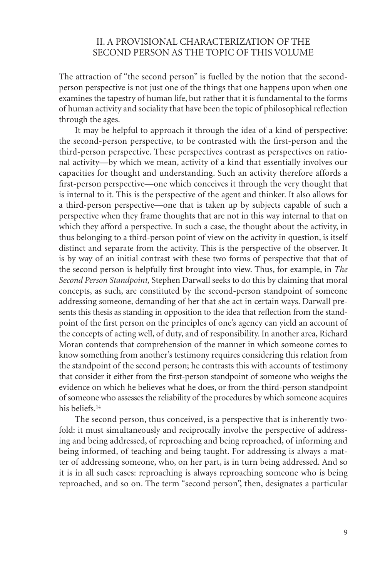## II. A Provisional Characterization of the Second Person as the Topic of this Volume

The attraction of "the second person" is fuelled by the notion that the secondperson perspective is not just one of the things that one happens upon when one examines the tapestry of human life, but rather that it is fundamental to the forms of human activity and sociality that have been the topic of philosophical reflection through the ages.

It may be helpful to approach it through the idea of a kind of perspective: the second-person perspective, to be contrasted with the first-person and the third-person perspective. These perspectives contrast as perspectives on rational activity—by which we mean, activity of a kind that essentially involves our capacities for thought and understanding. Such an activity therefore affords a first-person perspective—one which conceives it through the very thought that is internal to it. This is the perspective of the agent and thinker. It also allows for a third-person perspective—one that is taken up by subjects capable of such a perspective when they frame thoughts that are not in this way internal to that on which they afford a perspective. In such a case, the thought about the activity, in thus belonging to a third-person point of view on the activity in question, is itself distinct and separate from the activity. This is the perspective of the observer. It is by way of an initial contrast with these two forms of perspective that that of the second person is helpfully first brought into view. Thus, for example, in *The Second Person Standpoint,* Stephen Darwall seeks to do this by claiming that moral concepts, as such, are constituted by the second-person standpoint of someone addressing someone, demanding of her that she act in certain ways. Darwall presents this thesis as standing in opposition to the idea that reflection from the standpoint of the first person on the principles of one's agency can yield an account of the concepts of acting well, of duty, and of responsibility. In another area, Richard Moran contends that comprehension of the manner in which someone comes to know something from another's testimony requires considering this relation from the standpoint of the second person; he contrasts this with accounts of testimony that consider it either from the first-person standpoint of someone who weighs the evidence on which he believes what he does, or from the third-person standpoint of someone who assesses the reliability of the procedures by which someone acquires his beliefs.14

The second person, thus conceived, is a perspective that is inherently twofold: it must simultaneously and reciprocally involve the perspective of addressing and being addressed, of reproaching and being reproached, of informing and being informed, of teaching and being taught. For addressing is always a matter of addressing someone, who, on her part, is in turn being addressed. And so it is in all such cases: reproaching is always reproaching someone who is being reproached, and so on. The term "second person", then, designates a particular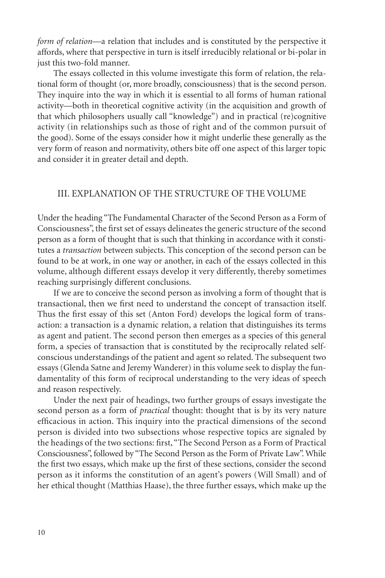*form of relation—a* relation that includes and is constituted by the perspective it affords, where that perspective in turn is itself irreducibly relational or bi-polar in just this two-fold manner.

The essays collected in this volume investigate this form of relation, the relational form of thought (or, more broadly, consciousness) that is the second person. They inquire into the way in which it is essential to all forms of human rational activity—both in theoretical cognitive activity (in the acquisition and growth of that which philosophers usually call "knowledge") and in practical (re)cognitive activity (in relationships such as those of right and of the common pursuit of the good). Some of the essays consider how it might underlie these generally as the very form of reason and normativity, others bite off one aspect of this larger topic and consider it in greater detail and depth.

## III. Explanation of the structure of the volume

Under the heading "The Fundamental Character of the Second Person as a Form of Consciousness", the first set of essays delineates the generic structure of the second person as a form of thought that is such that thinking in accordance with it constitutes a *transaction* between subjects. This conception of the second person can be found to be at work, in one way or another, in each of the essays collected in this volume, although different essays develop it very differently, thereby sometimes reaching surprisingly different conclusions.

If we are to conceive the second person as involving a form of thought that is transactional, then we first need to understand the concept of transaction itself. Thus the first essay of this set (Anton Ford) develops the logical form of transaction: a transaction is a dynamic relation, a relation that distinguishes its terms as agent and patient. The second person then emerges as a species of this general form, a species of transaction that is constituted by the reciprocally related selfconscious understandings of the patient and agent so related. The subsequent two essays (Glenda Satne and Jeremy Wanderer) in this volume seek to display the fundamentality of this form of reciprocal understanding to the very ideas of speech and reason respectively.

Under the next pair of headings, two further groups of essays investigate the second person as a form of *practical* thought: thought that is by its very nature efficacious in action. This inquiry into the practical dimensions of the second person is divided into two subsections whose respective topics are signaled by the headings of the two sections: first, "The Second Person as a Form of Practical Consciousness", followed by "The Second Person as the Form of Private Law". While the first two essays, which make up the first of these sections, consider the second person as it informs the constitution of an agent's powers (Will Small) and of her ethical thought (Matthias Haase), the three further essays, which make up the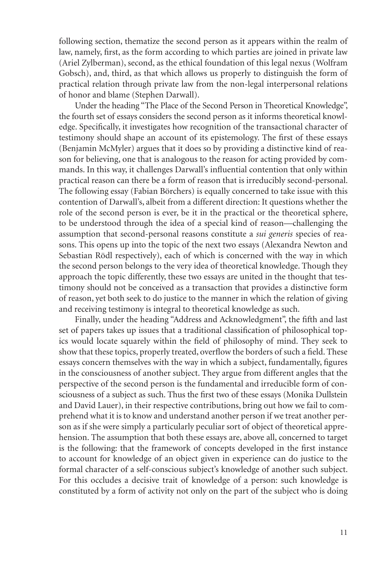following section, thematize the second person as it appears within the realm of law, namely, first, as the form according to which parties are joined in private law (Ariel Zylberman), second, as the ethical foundation of this legal nexus (Wolfram Gobsch), and, third, as that which allows us properly to distinguish the form of practical relation through private law from the non-legal interpersonal relations of honor and blame (Stephen Darwall).

Under the heading "The Place of the Second Person in Theoretical Knowledge", the fourth set of essays considers the second person as it informs theoretical knowledge. Specifically, it investigates how recognition of the transactional character of testimony should shape an account of its epistemology. The first of these essays (Benjamin McMyler) argues that it does so by providing a distinctive kind of reason for believing, one that is analogous to the reason for acting provided by commands. In this way, it challenges Darwall's influential contention that only within practical reason can there be a form of reason that is irreducibly second-personal. The following essay (Fabian Börchers) is equally concerned to take issue with this contention of Darwall's, albeit from a different direction: It questions whether the role of the second person is ever, be it in the practical or the theoretical sphere, to be understood through the idea of a special kind of reason—challenging the assumption that second-personal reasons constitute a *sui generis* species of reasons. This opens up into the topic of the next two essays (Alexandra Newton and Sebastian Rödl respectively), each of which is concerned with the way in which the second person belongs to the very idea of theoretical knowledge. Though they approach the topic differently, these two essays are united in the thought that testimony should not be conceived as a transaction that provides a distinctive form of reason, yet both seek to do justice to the manner in which the relation of giving and receiving testimony is integral to theoretical knowledge as such.

Finally, under the heading "Address and Acknowledgment", the fifth and last set of papers takes up issues that a traditional classification of philosophical topics would locate squarely within the field of philosophy of mind. They seek to show that these topics, properly treated, overflow the borders of such a field. These essays concern themselves with the way in which a subject, fundamentally, figures in the consciousness of another subject. They argue from different angles that the perspective of the second person is the fundamental and irreducible form of consciousness of a subject as such. Thus the first two of these essays (Monika Dullstein and David Lauer), in their respective contributions, bring out how we fail to comprehend what it is to know and understand another person if we treat another person as if she were simply a particularly peculiar sort of object of theoretical apprehension. The assumption that both these essays are, above all, concerned to target is the following: that the framework of concepts developed in the first instance to account for knowledge of an object given in experience can do justice to the formal character of a self-conscious subject's knowledge of another such subject. For this occludes a decisive trait of knowledge of a person: such knowledge is constituted by a form of activity not only on the part of the subject who is doing